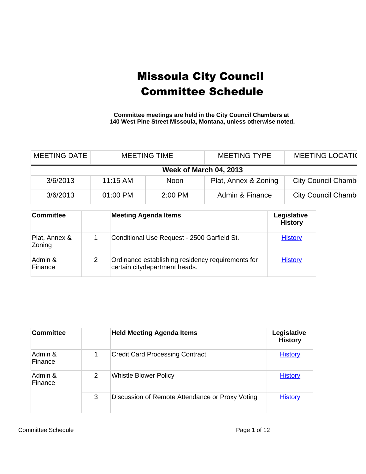**Committee meetings are held in the City Council Chambers at 140 West Pine Street Missoula, Montana, unless otherwise noted.**

| <b>MEETING DATE</b>     |   |                                                                                    | <b>MEETING TIME</b>                         | <b>MEETING TYPE</b> |  | <b>MEETING LOCATIC</b>        |  |
|-------------------------|---|------------------------------------------------------------------------------------|---------------------------------------------|---------------------|--|-------------------------------|--|
| Week of March 04, 2013  |   |                                                                                    |                                             |                     |  |                               |  |
| 3/6/2013                |   | 11:15 AM<br>Plat, Annex & Zoning<br><b>Noon</b>                                    |                                             |                     |  | City Council Chamb            |  |
| 3/6/2013                |   | 01:00 PM                                                                           | 2:00 PM                                     | Admin & Finance     |  | City Council Chamb            |  |
| <b>Committee</b>        |   |                                                                                    | <b>Meeting Agenda Items</b>                 |                     |  | Legislative<br><b>History</b> |  |
| Plat, Annex &<br>Zoning | 1 |                                                                                    | Conditional Use Request - 2500 Garfield St. |                     |  | <b>History</b>                |  |
| Admin &<br>Finance      | 2 | Ordinance establishing residency requirements for<br>certain citydepartment heads. |                                             |                     |  | <b>History</b>                |  |

| <b>Committee</b>   |   | <b>Held Meeting Agenda Items</b>                | Legislative<br><b>History</b> |
|--------------------|---|-------------------------------------------------|-------------------------------|
| Admin &<br>Finance | 1 | <b>Credit Card Processing Contract</b>          | <b>History</b>                |
| Admin &<br>Finance | 2 | <b>Whistle Blower Policy</b>                    | <b>History</b>                |
|                    | 3 | Discussion of Remote Attendance or Proxy Voting | <b>History</b>                |

Committee Schedule **Page 1 of 12**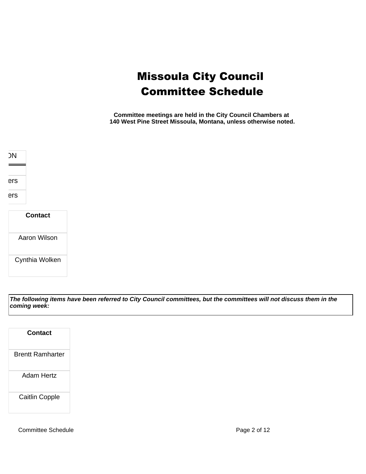**Committee meetings are held in the City Council Chambers at 140 West Pine Street Missoula, Montana, unless otherwise noted.**



| Contact        |
|----------------|
| Aaron Wilson   |
| Cynthia Wolken |

**The following items have been referred to City Council committees, but the committees will not discuss them in the coming week:**

| <b>Contact</b>          |
|-------------------------|
| <b>Brentt Ramharter</b> |
| Adam Hertz              |
| <b>Caitlin Copple</b>   |

Committee Schedule **Page 2 of 12**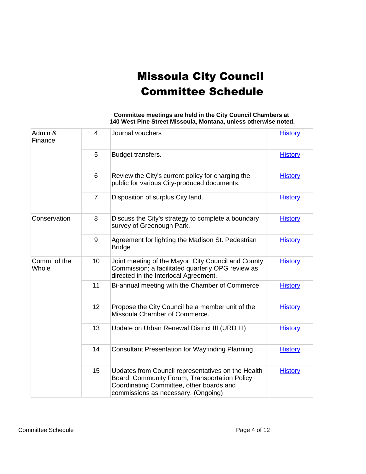| Admin &<br>Finance    | $\overline{4}$ | Journal vouchers                                                                                                                                                                       | <b>History</b> |
|-----------------------|----------------|----------------------------------------------------------------------------------------------------------------------------------------------------------------------------------------|----------------|
|                       | 5              | Budget transfers.                                                                                                                                                                      | <b>History</b> |
|                       | 6              | Review the City's current policy for charging the<br>public for various City-produced documents.                                                                                       | <b>History</b> |
|                       | $\overline{7}$ | Disposition of surplus City land.                                                                                                                                                      | <b>History</b> |
| Conservation          | 8              | Discuss the City's strategy to complete a boundary<br>survey of Greenough Park.                                                                                                        | <b>History</b> |
|                       | 9              | Agreement for lighting the Madison St. Pedestrian<br><b>Bridge</b>                                                                                                                     | <b>History</b> |
| Comm. of the<br>Whole | 10             | Joint meeting of the Mayor, City Council and County<br>Commission; a facilitated quarterly OPG review as<br>directed in the Interlocal Agreement.                                      | <b>History</b> |
|                       | 11             | Bi-annual meeting with the Chamber of Commerce                                                                                                                                         | <b>History</b> |
|                       | 12             | Propose the City Council be a member unit of the<br>Missoula Chamber of Commerce.                                                                                                      | <b>History</b> |
|                       | 13             | Update on Urban Renewal District III (URD III)                                                                                                                                         | <b>History</b> |
|                       | 14             | <b>Consultant Presentation for Wayfinding Planning</b>                                                                                                                                 | <b>History</b> |
|                       | 15             | Updates from Council representatives on the Health<br>Board, Community Forum, Transportation Policy<br>Coordinating Committee, other boards and<br>commissions as necessary. (Ongoing) | <b>History</b> |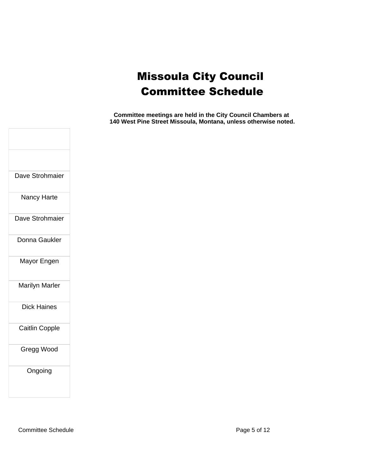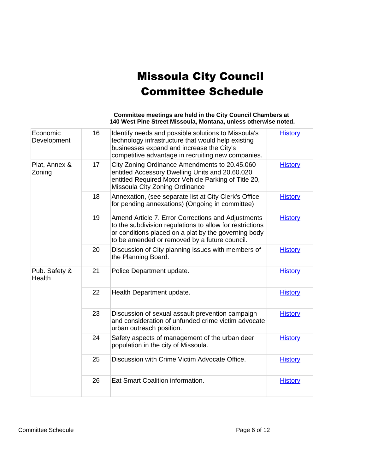| Economic<br>Development | 16 | Identify needs and possible solutions to Missoula's<br>technology infrastructure that would help existing<br>businesses expand and increase the City's<br>competitive advantage in recruiting new companies.            | <b>History</b> |
|-------------------------|----|-------------------------------------------------------------------------------------------------------------------------------------------------------------------------------------------------------------------------|----------------|
| Plat, Annex &<br>Zoning | 17 | City Zoning Ordinance Amendments to 20.45.060<br>entitled Accessory Dwelling Units and 20.60.020<br>entitled Required Motor Vehicle Parking of Title 20,<br>Missoula City Zoning Ordinance                              | <b>History</b> |
|                         | 18 | Annexation, (see separate list at City Clerk's Office<br>for pending annexations) (Ongoing in committee)                                                                                                                | <b>History</b> |
|                         | 19 | Amend Article 7. Error Corrections and Adjustments<br>to the subdivision regulations to allow for restrictions<br>or conditions placed on a plat by the governing body<br>to be amended or removed by a future council. | <b>History</b> |
|                         | 20 | Discussion of City planning issues with members of<br>the Planning Board.                                                                                                                                               | <b>History</b> |
| Pub. Safety &<br>Health | 21 | Police Department update.                                                                                                                                                                                               | <b>History</b> |
|                         | 22 | Health Department update.                                                                                                                                                                                               | <b>History</b> |
|                         | 23 | Discussion of sexual assault prevention campaign<br>and consideration of unfunded crime victim advocate<br>urban outreach position.                                                                                     | <b>History</b> |
|                         | 24 | Safety aspects of management of the urban deer<br>population in the city of Missoula.                                                                                                                                   | <b>History</b> |
|                         | 25 | Discussion with Crime Victim Advocate Office.                                                                                                                                                                           | <b>History</b> |
|                         | 26 | Eat Smart Coalition information.                                                                                                                                                                                        | <b>History</b> |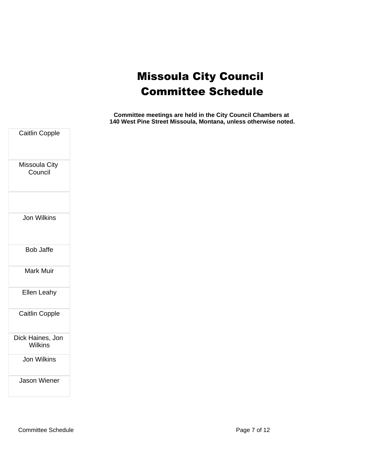| Caitlin Copple                     |
|------------------------------------|
| Missoula City<br>Council           |
| Jon Wilkins                        |
| <b>Bob Jaffe</b>                   |
| <b>Mark Muir</b>                   |
| <b>Ellen Leahy</b>                 |
| <b>Caitlin Copple</b>              |
| Dick Haines, Jon<br><b>Wilkins</b> |
| Jon Wilkins                        |
| <b>Jason Wiener</b>                |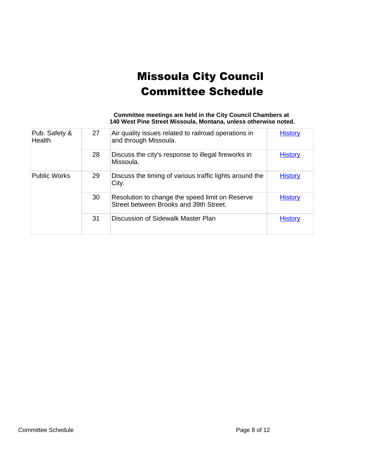| Committee meetings are held in the City Council Chambers at     |
|-----------------------------------------------------------------|
| 140 West Pine Street Missoula, Montana, unless otherwise noted. |

| Pub. Safety &<br>Health | 27 | Air quality issues related to railroad operations in<br>and through Missoula.             | <b>History</b> |
|-------------------------|----|-------------------------------------------------------------------------------------------|----------------|
|                         | 28 | Discuss the city's response to illegal fireworks in<br>Missoula.                          | <b>History</b> |
| <b>Public Works</b>     | 29 | Discuss the timing of various traffic lights around the<br>City.                          | <b>History</b> |
|                         | 30 | Resolution to change the speed limit on Reserve<br>Street between Brooks and 39th Street. | <b>History</b> |
|                         | 31 | Discussion of Sidewalk Master Plan                                                        | <b>History</b> |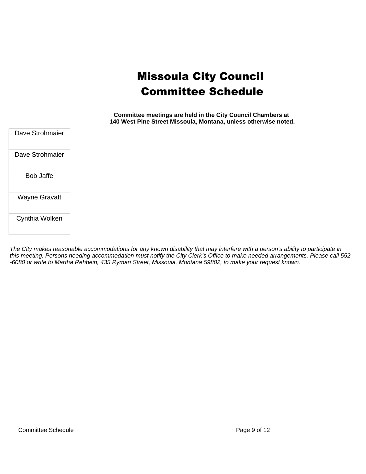**Committee meetings are held in the City Council Chambers at 140 West Pine Street Missoula, Montana, unless otherwise noted.**

Dave Strohmaier Dave Strohmaier Bob Jaffe Wayne Gravatt

Cynthia Wolken

The City makes reasonable accommodations for any known disability that may interfere with a person's ability to participate in this meeting. Persons needing accommodation must notify the City Clerk's Office to make needed arrangements. Please call 552 -6080 or write to Martha Rehbein, 435 Ryman Street, Missoula, Montana 59802, to make your request known.